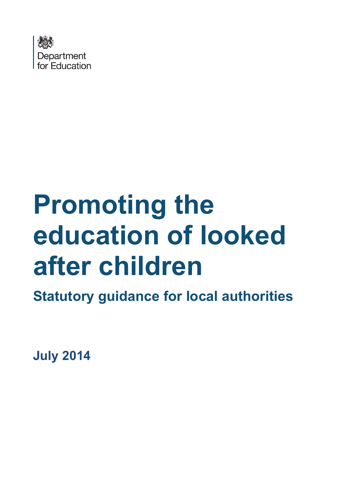

# **Promoting the education of looked after children**

**Statutory guidance for local authorities**

**July 2014**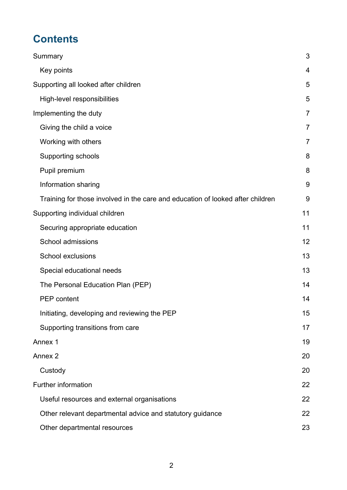## **Contents**

| Summary                                                                        | 3              |
|--------------------------------------------------------------------------------|----------------|
| Key points                                                                     | 4              |
| Supporting all looked after children                                           | 5              |
| High-level responsibilities                                                    | 5              |
| Implementing the duty                                                          | $\overline{7}$ |
| Giving the child a voice                                                       | 7              |
| Working with others                                                            | $\overline{7}$ |
| Supporting schools                                                             | 8              |
| Pupil premium                                                                  | 8              |
| Information sharing                                                            | 9              |
| Training for those involved in the care and education of looked after children | 9              |
| Supporting individual children                                                 | 11             |
| Securing appropriate education                                                 | 11             |
| School admissions                                                              | 12             |
| <b>School exclusions</b>                                                       | 13             |
| Special educational needs                                                      | 13             |
| The Personal Education Plan (PEP)                                              | 14             |
| <b>PEP</b> content                                                             | 14             |
| Initiating, developing and reviewing the PEP                                   | 15             |
| Supporting transitions from care                                               | 17             |
| Annex 1                                                                        | 19             |
| Annex <sub>2</sub>                                                             | 20             |
| Custody                                                                        | 20             |
| Further information                                                            | 22             |
| Useful resources and external organisations                                    | 22             |
| Other relevant departmental advice and statutory guidance                      | 22             |
| Other departmental resources                                                   | 23             |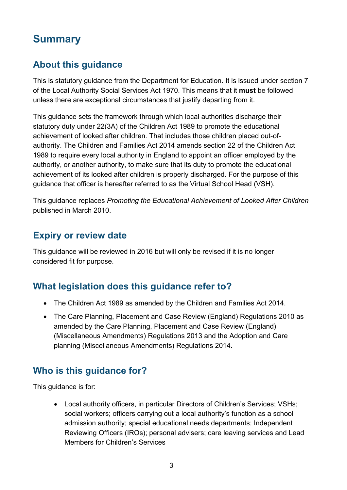## <span id="page-2-0"></span>**Summary**

#### **About this guidance**

This is statutory guidance from the Department for Education. It is issued under section 7 of the Local Authority Social Services Act 1970. This means that it **must** be followed unless there are exceptional circumstances that justify departing from it.

This guidance sets the framework through which local authorities discharge their statutory duty under 22(3A) of the Children Act 1989 to promote the educational achievement of looked after children. That includes those children placed out-ofauthority. The Children and Families Act 2014 amends section 22 of the Children Act 1989 to require every local authority in England to appoint an officer employed by the authority, or another authority, to make sure that its duty to promote the educational achievement of its looked after children is properly discharged. For the purpose of this guidance that officer is hereafter referred to as the Virtual School Head (VSH).

This guidance replaces *Promoting the Educational Achievement of Looked After Children*  published in March 2010.

#### **Expiry or review date**

This guidance will be reviewed in 2016 but will only be revised if it is no longer considered fit for purpose.

#### **What legislation does this guidance refer to?**

- The Children Act 1989 as amended by the Children and Families Act 2014.
- The Care Planning, Placement and Case Review (England) Regulations 2010 as amended by the Care Planning, Placement and Case Review (England) (Miscellaneous Amendments) Regulations 2013 and the Adoption and Care planning (Miscellaneous Amendments) Regulations 2014.

#### **Who is this guidance for?**

This guidance is for:

• Local authority officers, in particular Directors of Children's Services; VSHs; social workers; officers carrying out a local authority's function as a school admission authority; special educational needs departments; Independent Reviewing Officers (IROs); personal advisers; care leaving services and Lead Members for Children's Services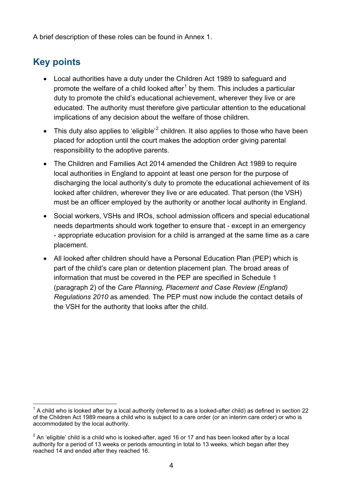A brief description of these roles can be found in Annex 1.

## <span id="page-3-0"></span>**Key points**

- Local authorities have a duty under the Children Act 1989 to safeguard and promote the welfare of a child looked after<sup>[1](#page-3-1)</sup> by them. This includes a particular duty to promote the child's educational achievement, wherever they live or are educated. The authority must therefore give particular attention to the educational implications of any decision about the welfare of those children.
- This duty also applies to 'eligible'<sup>[2](#page-3-2)</sup> children. It also applies to those who have been placed for adoption until the court makes the adoption order giving parental responsibility to the adoptive parents.
- The Children and Families Act 2014 amended the Children Act 1989 to require local authorities in England to appoint at least one person for the purpose of discharging the local authority's duty to promote the educational achievement of its looked after children, wherever they live or are educated. That person (the VSH) must be an officer employed by the authority or another local authority in England.
- Social workers, VSHs and IROs, school admission officers and special educational needs departments should work together to ensure that - except in an emergency - appropriate education provision for a child is arranged at the same time as a care placement.
- All looked after children should have a Personal Education Plan (PEP) which is part of the child's care plan or detention placement plan. The broad areas of information that must be covered in the PEP are specified in Schedule 1 (paragraph 2) of the *Care Planning, Placement and Case Review (England) Regulations 2010* as amended. The PEP must now include the contact details of the VSH for the authority that looks after the child.

<span id="page-3-1"></span> <sup>1</sup> A child who is looked after by a local authority (referred to as a looked-after child) as defined in section 22 of the Children Act 1989 means a child who is subject to a care order (or an interim care order) or who is accommodated by the local authority.

<span id="page-3-2"></span> $2$  An 'eligible' child is a child who is looked-after, aged 16 or 17 and has been looked after by a local authority for a period of 13 weeks or periods amounting in total to 13 weeks, which began after they reached 14 and ended after they reached 16.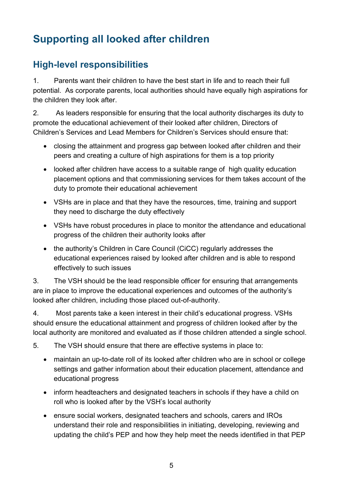## <span id="page-4-0"></span>**Supporting all looked after children**

#### <span id="page-4-1"></span>**High-level responsibilities**

1. Parents want their children to have the best start in life and to reach their full potential. As corporate parents, local authorities should have equally high aspirations for the children they look after.

2. As leaders responsible for ensuring that the local authority discharges its duty to promote the educational achievement of their looked after children, Directors of Children's Services and Lead Members for Children's Services should ensure that:

- closing the attainment and progress gap between looked after children and their peers and creating a culture of high aspirations for them is a top priority
- looked after children have access to a suitable range of high quality education placement options and that commissioning services for them takes account of the duty to promote their educational achievement
- VSHs are in place and that they have the resources, time, training and support they need to discharge the duty effectively
- VSHs have robust procedures in place to monitor the attendance and educational progress of the children their authority looks after
- the authority's Children in Care Council (CiCC) regularly addresses the educational experiences raised by looked after children and is able to respond effectively to such issues

3. The VSH should be the lead responsible officer for ensuring that arrangements are in place to improve the educational experiences and outcomes of the authority's looked after children, including those placed out-of-authority.

4. Most parents take a keen interest in their child's educational progress. VSHs should ensure the educational attainment and progress of children looked after by the local authority are monitored and evaluated as if those children attended a single school.

5. The VSH should ensure that there are effective systems in place to:

- maintain an up-to-date roll of its looked after children who are in school or college settings and gather information about their education placement, attendance and educational progress
- inform headteachers and designated teachers in schools if they have a child on roll who is looked after by the VSH's local authority
- ensure social workers, designated teachers and schools, carers and IROs understand their role and responsibilities in initiating, developing, reviewing and updating the child's PEP and how they help meet the needs identified in that PEP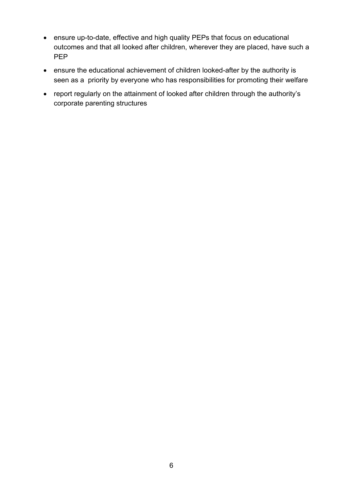- ensure up-to-date, effective and high quality PEPs that focus on educational outcomes and that all looked after children, wherever they are placed, have such a PEP
- ensure the educational achievement of children looked-after by the authority is seen as a priority by everyone who has responsibilities for promoting their welfare
- report regularly on the attainment of looked after children through the authority's corporate parenting structures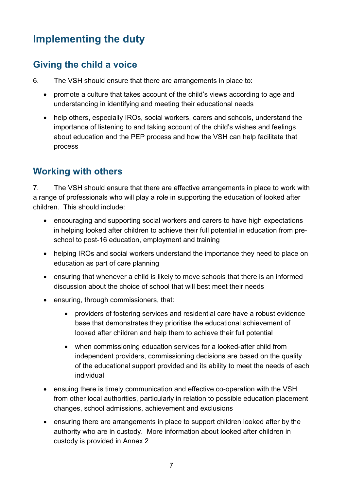## <span id="page-6-0"></span>**Implementing the duty**

#### <span id="page-6-1"></span>**Giving the child a voice**

- 6. The VSH should ensure that there are arrangements in place to:
	- promote a culture that takes account of the child's views according to age and understanding in identifying and meeting their educational needs
	- help others, especially IROs, social workers, carers and schools, understand the importance of listening to and taking account of the child's wishes and feelings about education and the PEP process and how the VSH can help facilitate that process

#### <span id="page-6-2"></span>**Working with others**

7. The VSH should ensure that there are effective arrangements in place to work with a range of professionals who will play a role in supporting the education of looked after children. This should include:

- encouraging and supporting social workers and carers to have high expectations in helping looked after children to achieve their full potential in education from preschool to post-16 education, employment and training
- helping IROs and social workers understand the importance they need to place on education as part of care planning
- ensuring that whenever a child is likely to move schools that there is an informed discussion about the choice of school that will best meet their needs
- ensuring, through commissioners, that:
	- providers of fostering services and residential care have a robust evidence base that demonstrates they prioritise the educational achievement of looked after children and help them to achieve their full potential
	- when commissioning education services for a looked-after child from independent providers, commissioning decisions are based on the quality of the educational support provided and its ability to meet the needs of each individual
- ensuing there is timely communication and effective co-operation with the VSH from other local authorities, particularly in relation to possible education placement changes, school admissions, achievement and exclusions
- ensuring there are arrangements in place to support children looked after by the authority who are in custody. More information about looked after children in custody is provided in Annex 2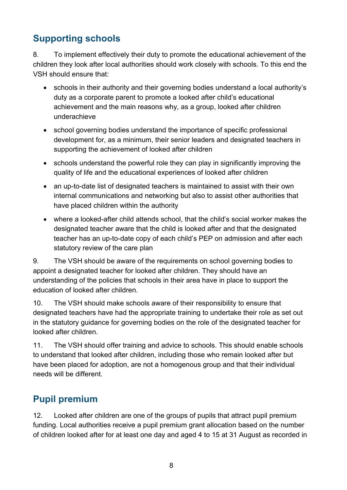### <span id="page-7-0"></span>**Supporting schools**

8. To implement effectively their duty to promote the educational achievement of the children they look after local authorities should work closely with schools. To this end the VSH should ensure that:

- schools in their authority and their governing bodies understand a local authority's duty as a corporate parent to promote a looked after child's educational achievement and the main reasons why, as a group, looked after children underachieve
- school governing bodies understand the importance of specific professional development for, as a minimum, their senior leaders and designated teachers in supporting the achievement of looked after children
- schools understand the powerful role they can play in significantly improving the quality of life and the educational experiences of looked after children
- an up-to-date list of designated teachers is maintained to assist with their own internal communications and networking but also to assist other authorities that have placed children within the authority
- where a looked-after child attends school, that the child's social worker makes the designated teacher aware that the child is looked after and that the designated teacher has an up-to-date copy of each child's PEP on admission and after each statutory review of the care plan

9. The VSH should be aware of the requirements on school governing bodies to appoint a designated teacher for looked after children. They should have an understanding of the policies that schools in their area have in place to support the education of looked after children.

10. The VSH should make schools aware of their responsibility to ensure that designated teachers have had the appropriate training to undertake their role as set out in the statutory guidance for governing bodies on the role of the designated teacher for looked after children.

11. The VSH should offer training and advice to schools. This should enable schools to understand that looked after children, including those who remain looked after but have been placed for adoption, are not a homogenous group and that their individual needs will be different.

#### <span id="page-7-1"></span>**Pupil premium**

12. Looked after children are one of the groups of pupils that attract pupil premium funding. Local authorities receive a pupil premium grant allocation based on the number of children looked after for at least one day and aged 4 to 15 at 31 August as recorded in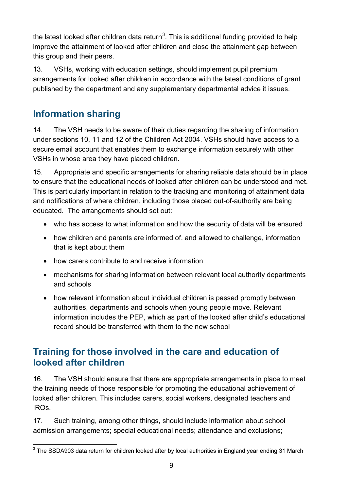the latest looked after children data return<sup>[3](#page-8-2)</sup>. This is additional funding provided to help improve the attainment of looked after children and close the attainment gap between this group and their peers.

13. VSHs, working with education settings, should implement pupil premium arrangements for looked after children in accordance with the latest conditions of grant published by the department and any supplementary departmental advice it issues.

#### <span id="page-8-0"></span>**Information sharing**

14. The VSH needs to be aware of their duties regarding the sharing of information under sections 10, 11 and 12 of the Children Act 2004. VSHs should have access to a secure email account that enables them to exchange information securely with other VSHs in whose area they have placed children.

15. Appropriate and specific arrangements for sharing reliable data should be in place to ensure that the educational needs of looked after children can be understood and met. This is particularly important in relation to the tracking and monitoring of attainment data and notifications of where children, including those placed out-of-authority are being educated. The arrangements should set out:

- who has access to what information and how the security of data will be ensured
- how children and parents are informed of, and allowed to challenge, information that is kept about them
- how carers contribute to and receive information
- mechanisms for sharing information between relevant local authority departments and schools
- how relevant information about individual children is passed promptly between authorities, departments and schools when young people move. Relevant information includes the PEP, which as part of the looked after child's educational record should be transferred with them to the new school

#### <span id="page-8-1"></span>**Training for those involved in the care and education of looked after children**

16. The VSH should ensure that there are appropriate arrangements in place to meet the training needs of those responsible for promoting the educational achievement of looked after children. This includes carers, social workers, designated teachers and IROs.

17. Such training, among other things, should include information about school admission arrangements; special educational needs; attendance and exclusions;

<span id="page-8-2"></span> $3$  The SSDA903 data return for children looked after by local authorities in England year ending 31 March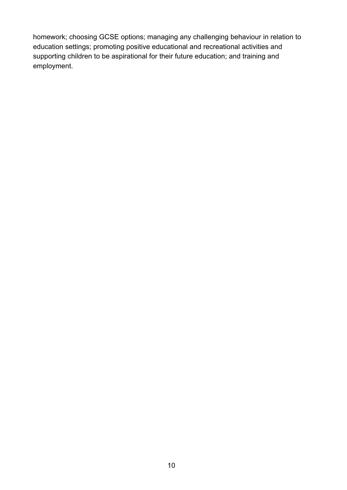homework; choosing GCSE options; managing any challenging behaviour in relation to education settings; promoting positive educational and recreational activities and supporting children to be aspirational for their future education; and training and employment.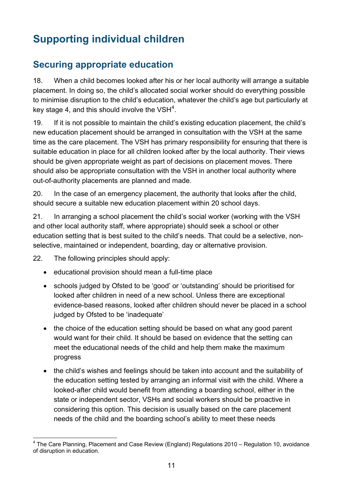# <span id="page-10-0"></span>**Supporting individual children**

#### <span id="page-10-1"></span>**Securing appropriate education**

18. When a child becomes looked after his or her local authority will arrange a suitable placement. In doing so, the child's allocated social worker should do everything possible to minimise disruption to the child's education, whatever the child's age but particularly at key stage [4](#page-10-2), and this should involve the VSH $^4$ .

19. If it is not possible to maintain the child's existing education placement, the child's new education placement should be arranged in consultation with the VSH at the same time as the care placement. The VSH has primary responsibility for ensuring that there is suitable education in place for all children looked after by the local authority. Their views should be given appropriate weight as part of decisions on placement moves. There should also be appropriate consultation with the VSH in another local authority where out-of-authority placements are planned and made.

20. In the case of an emergency placement, the authority that looks after the child, should secure a suitable new education placement within 20 school days.

21. In arranging a school placement the child's social worker (working with the VSH and other local authority staff, where appropriate) should seek a school or other education setting that is best suited to the child's needs. That could be a selective, nonselective, maintained or independent, boarding, day or alternative provision.

22. The following principles should apply:

- educational provision should mean a full-time place
- schools judged by Ofsted to be 'good' or 'outstanding' should be prioritised for looked after children in need of a new school. Unless there are exceptional evidence-based reasons, looked after children should never be placed in a school judged by Ofsted to be 'inadequate'
- the choice of the education setting should be based on what any good parent would want for their child. It should be based on evidence that the setting can meet the educational needs of the child and help them make the maximum progress
- the child's wishes and feelings should be taken into account and the suitability of the education setting tested by arranging an informal visit with the child. Where a looked-after child would benefit from attending a boarding school, either in the state or independent sector, VSHs and social workers should be proactive in considering this option. This decision is usually based on the care placement needs of the child and the boarding school's ability to meet these needs

<span id="page-10-2"></span><sup>&</sup>lt;sup>4</sup> The Care Planning, Placement and Case Review (England) Regulations 2010 – Regulation 10, avoidance of disruption in education.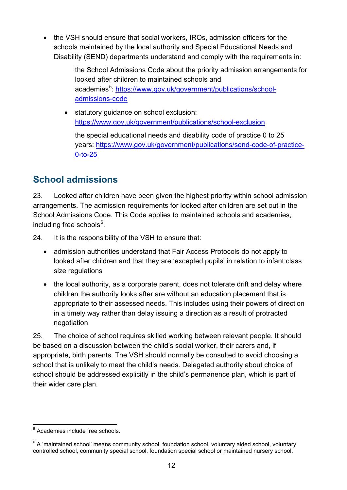• the VSH should ensure that social workers, IROs, admission officers for the schools maintained by the local authority and Special Educational Needs and Disability (SEND) departments understand and comply with the requirements in:

> the School Admissions Code about the priority admission arrangements for looked after children to maintained schools and academies<sup>[5](#page-11-1)</sup>: [https://www.gov.uk/government/publications/school](https://www.gov.uk/government/publications/school-admissions-code)[admissions-code](https://www.gov.uk/government/publications/school-admissions-code)

• statutory guidance on school exclusion: <https://www.gov.uk/government/publications/school-exclusion>

the special educational needs and disability code of practice 0 to 25 years: [https://www.gov.uk/government/publications/send-code-of-practice-](https://www.gov.uk/government/publications/send-code-of-practice-0-to-25)[0-to-25](https://www.gov.uk/government/publications/send-code-of-practice-0-to-25)

#### <span id="page-11-0"></span>**School admissions**

23. Looked after children have been given the highest priority within school admission arrangements. The admission requirements for looked after children are set out in the School Admissions Code. This Code applies to maintained schools and academies, including free schools $^6$  $^6$ .

24. It is the responsibility of the VSH to ensure that:

- admission authorities understand that Fair Access Protocols do not apply to looked after children and that they are 'excepted pupils' in relation to infant class size regulations
- the local authority, as a corporate parent, does not tolerate drift and delay where children the authority looks after are without an education placement that is appropriate to their assessed needs. This includes using their powers of direction in a timely way rather than delay issuing a direction as a result of protracted negotiation

25. The choice of school requires skilled working between relevant people. It should be based on a discussion between the child's social worker, their carers and, if appropriate, birth parents. The VSH should normally be consulted to avoid choosing a school that is unlikely to meet the child's needs. Delegated authority about choice of school should be addressed explicitly in the child's permanence plan, which is part of their wider care plan.

<span id="page-11-1"></span> <sup>5</sup> Academies include free schools.

<span id="page-11-2"></span> $6$  A 'maintained school' means community school, foundation school, voluntary aided school, voluntary controlled school, community special school, foundation special school or maintained nursery school.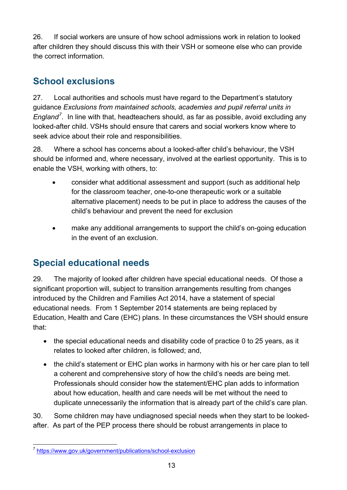26. If social workers are unsure of how school admissions work in relation to looked after children they should discuss this with their VSH or someone else who can provide the correct information.

## <span id="page-12-0"></span>**School exclusions**

27. Local authorities and schools must have regard to the Department's statutory guidance *Exclusions from maintained schools, academies and pupil referral units in England[7](#page-12-2)* . In line with that, headteachers should, as far as possible, avoid excluding any looked-after child. VSHs should ensure that carers and social workers know where to seek advice about their role and responsibilities.

28. Where a school has concerns about a looked-after child's behaviour, the VSH should be informed and, where necessary, involved at the earliest opportunity. This is to enable the VSH, working with others, to:

- consider what additional assessment and support (such as additional help for the classroom teacher, one-to-one therapeutic work or a suitable alternative placement) needs to be put in place to address the causes of the child's behaviour and prevent the need for exclusion
- make any additional arrangements to support the child's on-going education in the event of an exclusion.

#### <span id="page-12-1"></span>**Special educational needs**

29. The majority of looked after children have special educational needs. Of those a significant proportion will, subject to transition arrangements resulting from changes introduced by the Children and Families Act 2014, have a statement of special educational needs. From 1 September 2014 statements are being replaced by Education, Health and Care (EHC) plans. In these circumstances the VSH should ensure that:

- the special educational needs and disability code of practice 0 to 25 years, as it relates to looked after children, is followed; and,
- the child's statement or EHC plan works in harmony with his or her care plan to tell a coherent and comprehensive story of how the child's needs are being met. Professionals should consider how the statement/EHC plan adds to information about how education, health and care needs will be met without the need to duplicate unnecessarily the information that is already part of the child's care plan.

30. Some children may have undiagnosed special needs when they start to be lookedafter. As part of the PEP process there should be robust arrangements in place to

<span id="page-12-2"></span> <sup>7</sup> <https://www.gov.uk/government/publications/school-exclusion>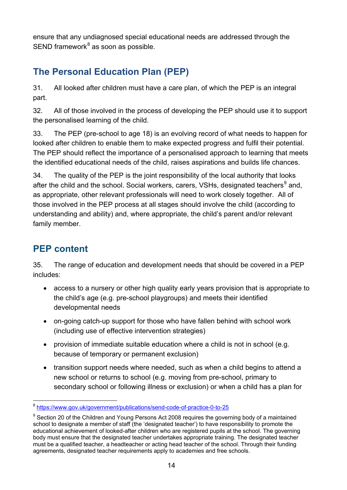ensure that any undiagnosed special educational needs are addressed through the  $SEND$  framework $8$  as soon as possible.

### <span id="page-13-0"></span>**The Personal Education Plan (PEP)**

31. All looked after children must have a care plan, of which the PEP is an integral part.

32. All of those involved in the process of developing the PEP should use it to support the personalised learning of the child.

33. The PEP (pre-school to age 18) is an evolving record of what needs to happen for looked after children to enable them to make expected progress and fulfil their potential. The PEP should reflect the importance of a personalised approach to learning that meets the identified educational needs of the child, raises aspirations and builds life chances.

34. The quality of the PEP is the joint responsibility of the local authority that looks after the child and the school. Social workers, carers, VSHs, designated teachers<sup>[9](#page-13-3)</sup> and, as appropriate, other relevant professionals will need to work closely together. All of those involved in the PEP process at all stages should involve the child (according to understanding and ability) and, where appropriate, the child's parent and/or relevant family member.

### <span id="page-13-1"></span>**PEP content**

35. The range of education and development needs that should be covered in a PEP includes:

- access to a nursery or other high quality early years provision that is appropriate to the child's age (e.g. pre-school playgroups) and meets their identified developmental needs
- on-going catch-up support for those who have fallen behind with school work (including use of effective intervention strategies)
- provision of immediate suitable education where a child is not in school (e.g. because of temporary or permanent exclusion)
- transition support needs where needed, such as when a child begins to attend a new school or returns to school (e.g. moving from pre-school, primary to secondary school or following illness or exclusion) or when a child has a plan for

<span id="page-13-2"></span> <sup>8</sup> <https://www.gov.uk/government/publications/send-code-of-practice-0-to-25>

<span id="page-13-3"></span> $9$  Section 20 of the Children and Young Persons Act 2008 requires the governing body of a maintained school to designate a member of staff (the 'designated teacher') to have responsibility to promote the educational achievement of looked-after children who are registered pupils at the school. The governing body must ensure that the designated teacher undertakes appropriate training. The designated teacher must be a qualified teacher, a headteacher or acting head teacher of the school. Through their funding agreements, designated teacher requirements apply to academies and free schools.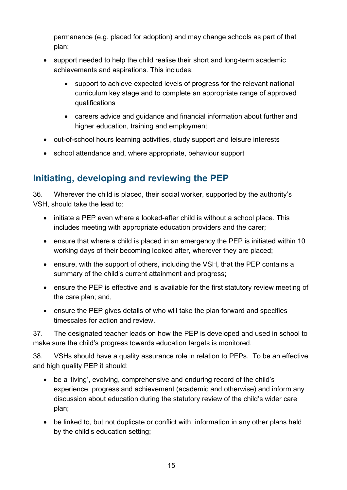permanence (e.g. placed for adoption) and may change schools as part of that plan;

- support needed to help the child realise their short and long-term academic achievements and aspirations. This includes:
	- support to achieve expected levels of progress for the relevant national curriculum key stage and to complete an appropriate range of approved qualifications
	- careers advice and guidance and financial information about further and higher education, training and employment
- out-of-school hours learning activities, study support and leisure interests
- school attendance and, where appropriate, behaviour support

#### <span id="page-14-0"></span>**Initiating, developing and reviewing the PEP**

36. Wherever the child is placed, their social worker, supported by the authority's VSH, should take the lead to:

- initiate a PEP even where a looked-after child is without a school place. This includes meeting with appropriate education providers and the carer;
- ensure that where a child is placed in an emergency the PEP is initiated within 10 working days of their becoming looked after, wherever they are placed;
- ensure, with the support of others, including the VSH, that the PEP contains a summary of the child's current attainment and progress;
- ensure the PEP is effective and is available for the first statutory review meeting of the care plan; and,
- ensure the PEP gives details of who will take the plan forward and specifies timescales for action and review.

37. The designated teacher leads on how the PEP is developed and used in school to make sure the child's progress towards education targets is monitored.

38. VSHs should have a quality assurance role in relation to PEPs. To be an effective and high quality PEP it should:

- be a 'living', evolving, comprehensive and enduring record of the child's experience, progress and achievement (academic and otherwise) and inform any discussion about education during the statutory review of the child's wider care plan;
- be linked to, but not duplicate or conflict with, information in any other plans held by the child's education setting;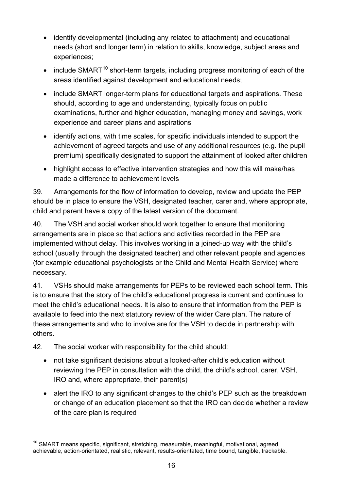- identify developmental (including any related to attachment) and educational needs (short and longer term) in relation to skills, knowledge, subject areas and experiences;
- include SMART<sup>[10](#page-15-0)</sup> short-term targets, including progress monitoring of each of the areas identified against development and educational needs;
- include SMART longer-term plans for educational targets and aspirations. These should, according to age and understanding, typically focus on public examinations, further and higher education, managing money and savings, work experience and career plans and aspirations
- identify actions, with time scales, for specific individuals intended to support the achievement of agreed targets and use of any additional resources (e.g. the pupil premium) specifically designated to support the attainment of looked after children
- highlight access to effective intervention strategies and how this will make/has made a difference to achievement levels

39. Arrangements for the flow of information to develop, review and update the PEP should be in place to ensure the VSH, designated teacher, carer and, where appropriate, child and parent have a copy of the latest version of the document.

40. The VSH and social worker should work together to ensure that monitoring arrangements are in place so that actions and activities recorded in the PEP are implemented without delay. This involves working in a joined-up way with the child's school (usually through the designated teacher) and other relevant people and agencies (for example educational psychologists or the Child and Mental Health Service) where necessary.

41. VSHs should make arrangements for PEPs to be reviewed each school term. This is to ensure that the story of the child's educational progress is current and continues to meet the child's educational needs. It is also to ensure that information from the PEP is available to feed into the next statutory review of the wider Care plan. The nature of these arrangements and who to involve are for the VSH to decide in partnership with others.

42. The social worker with responsibility for the child should:

- not take significant decisions about a looked-after child's education without reviewing the PEP in consultation with the child, the child's school, carer, VSH, IRO and, where appropriate, their parent(s)
- alert the IRO to any significant changes to the child's PEP such as the breakdown or change of an education placement so that the IRO can decide whether a review of the care plan is required

<span id="page-15-0"></span> $10$  SMART means specific, significant, stretching, measurable, meaningful, motivational, agreed, achievable, action-orientated, realistic, relevant, results-orientated, time bound, tangible, trackable.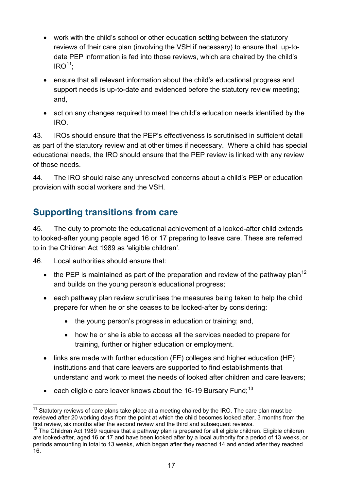- work with the child's school or other education setting between the statutory reviews of their care plan (involving the VSH if necessary) to ensure that up-todate PEP information is fed into those reviews, which are chaired by the child's  $IRO<sup>11</sup>$  $IRO<sup>11</sup>$  $IRO<sup>11</sup>$ :
- ensure that all relevant information about the child's educational progress and support needs is up-to-date and evidenced before the statutory review meeting; and,
- act on any changes required to meet the child's education needs identified by the IRO.

43. IROs should ensure that the PEP's effectiveness is scrutinised in sufficient detail as part of the statutory review and at other times if necessary. Where a child has special educational needs, the IRO should ensure that the PEP review is linked with any review of those needs.

44. The IRO should raise any unresolved concerns about a child's PEP or education provision with social workers and the VSH.

#### <span id="page-16-0"></span>**Supporting transitions from care**

45. The duty to promote the educational achievement of a looked-after child extends to looked-after young people aged 16 or 17 preparing to leave care. These are referred to in the Children Act 1989 as 'eligible children'.

46. Local authorities should ensure that:

- the PEP is maintained as part of the preparation and review of the pathway plan<sup>[12](#page-16-2)</sup> and builds on the young person's educational progress;
- each pathway plan review scrutinises the measures being taken to help the child prepare for when he or she ceases to be looked-after by considering:
	- the young person's progress in education or training; and,
	- how he or she is able to access all the services needed to prepare for training, further or higher education or employment.
- links are made with further education (FE) colleges and higher education (HE) institutions and that care leavers are supported to find establishments that understand and work to meet the needs of looked after children and care leavers;
- each eligible care leaver knows about the 16-19 Bursary Fund;<sup>[13](#page-16-3)</sup>

<span id="page-16-1"></span> $11$  Statutory reviews of care plans take place at a meeting chaired by the IRO. The care plan must be reviewed after 20 working days from the point at which the child becomes looked after, 3 months from the first review, six months after the second review and the third and subsequent reviews.

<span id="page-16-3"></span><span id="page-16-2"></span> $12$  The Children Act 1989 requires that a pathway plan is prepared for all eligible children. Eligible children are looked-after, aged 16 or 17 and have been looked after by a local authority for a period of 13 weeks, or periods amounting in total to 13 weeks, which began after they reached 14 and ended after they reached 16.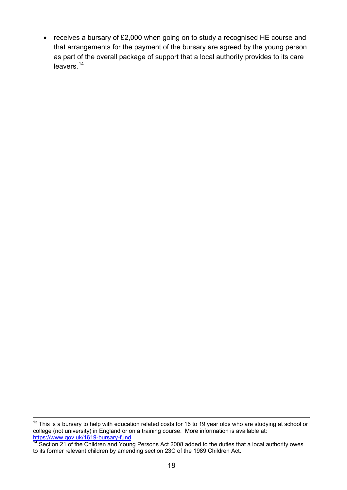• receives a bursary of £2,000 when going on to study a recognised HE course and that arrangements for the payment of the bursary are agreed by the young person as part of the overall package of support that a local authority provides to its care leavers. [14](#page-17-0)

 $13$  This is a bursary to help with education related costs for 16 to 19 year olds who are studying at school or college (not university) in England or on a training course. More information is available at: <https://www.gov.uk/1619-bursary-fund>

<span id="page-17-0"></span><sup>&</sup>lt;sup>14</sup> Section 21 of the Children and Young Persons Act 2008 added to the duties that a local authority owes to its former relevant children by amending section 23C of the 1989 Children Act.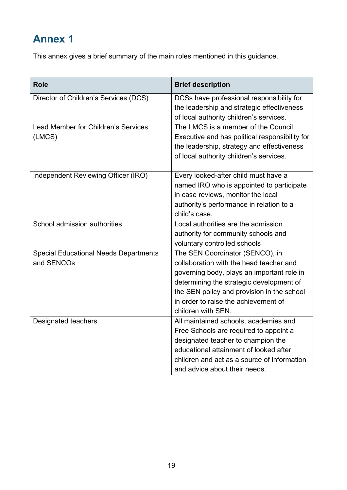## <span id="page-18-0"></span>**Annex 1**

This annex gives a brief summary of the main roles mentioned in this guidance.

| <b>Role</b>                                                | <b>Brief description</b>                                                                                                                                                                                                                                                         |
|------------------------------------------------------------|----------------------------------------------------------------------------------------------------------------------------------------------------------------------------------------------------------------------------------------------------------------------------------|
| Director of Children's Services (DCS)                      | DCSs have professional responsibility for<br>the leadership and strategic effectiveness<br>of local authority children's services.                                                                                                                                               |
| <b>Lead Member for Children's Services</b><br>(LMCS)       | The LMCS is a member of the Council<br>Executive and has political responsibility for<br>the leadership, strategy and effectiveness<br>of local authority children's services.                                                                                                   |
| Independent Reviewing Officer (IRO)                        | Every looked-after child must have a<br>named IRO who is appointed to participate<br>in case reviews, monitor the local<br>authority's performance in relation to a<br>child's case.                                                                                             |
| School admission authorities                               | Local authorities are the admission<br>authority for community schools and<br>voluntary controlled schools                                                                                                                                                                       |
| <b>Special Educational Needs Departments</b><br>and SENCOs | The SEN Coordinator (SENCO), in<br>collaboration with the head teacher and<br>governing body, plays an important role in<br>determining the strategic development of<br>the SEN policy and provision in the school<br>in order to raise the achievement of<br>children with SEN. |
| Designated teachers                                        | All maintained schools, academies and<br>Free Schools are required to appoint a<br>designated teacher to champion the<br>educational attainment of looked after<br>children and act as a source of information<br>and advice about their needs.                                  |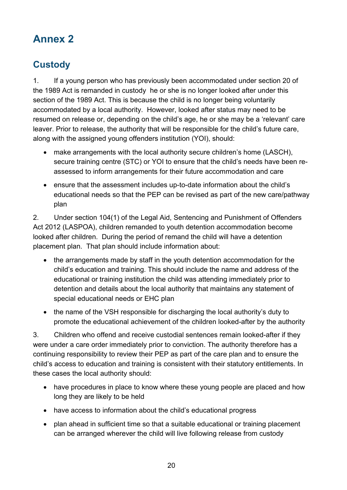## <span id="page-19-0"></span>**Annex 2**

## <span id="page-19-1"></span>**Custody**

1. If a young person who has previously been accommodated under section 20 of the 1989 Act is remanded in custody he or she is no longer looked after under this section of the 1989 Act. This is because the child is no longer being voluntarily accommodated by a local authority. However, looked after status may need to be resumed on release or, depending on the child's age, he or she may be a 'relevant' care leaver. Prior to release, the authority that will be responsible for the child's future care, along with the assigned young offenders institution (YOI), should:

- make arrangements with the local authority secure children's home (LASCH), secure training centre (STC) or YOI to ensure that the child's needs have been reassessed to inform arrangements for their future accommodation and care
- ensure that the assessment includes up-to-date information about the child's educational needs so that the PEP can be revised as part of the new care/pathway plan

2. Under section 104(1) of the Legal Aid, Sentencing and Punishment of Offenders Act 2012 (LASPOA), children remanded to youth detention accommodation become looked after children. During the period of remand the child will have a detention placement plan. That plan should include information about:

- the arrangements made by staff in the youth detention accommodation for the child's education and training. This should include the name and address of the educational or training institution the child was attending immediately prior to detention and details about the local authority that maintains any statement of special educational needs or EHC plan
- the name of the VSH responsible for discharging the local authority's duty to promote the educational achievement of the children looked-after by the authority

3. Children who offend and receive custodial sentences remain looked-after if they were under a care order immediately prior to conviction. The authority therefore has a continuing responsibility to review their PEP as part of the care plan and to ensure the child's access to education and training is consistent with their statutory entitlements. In these cases the local authority should:

- have procedures in place to know where these young people are placed and how long they are likely to be held
- have access to information about the child's educational progress
- plan ahead in sufficient time so that a suitable educational or training placement can be arranged wherever the child will live following release from custody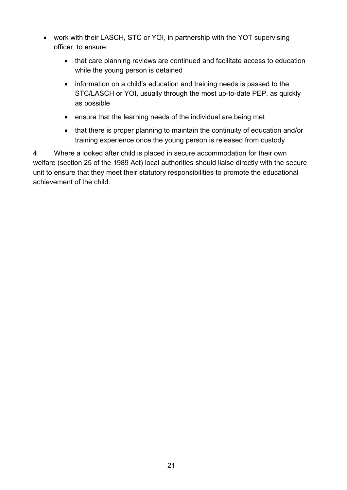- work with their LASCH, STC or YOI, in partnership with the YOT supervising officer, to ensure:
	- that care planning reviews are continued and facilitate access to education while the young person is detained
	- information on a child's education and training needs is passed to the STC/LASCH or YOI, usually through the most up-to-date PEP, as quickly as possible
	- ensure that the learning needs of the individual are being met
	- that there is proper planning to maintain the continuity of education and/or training experience once the young person is released from custody

4. Where a looked after child is placed in secure accommodation for their own welfare (section 25 of the 1989 Act) local authorities should liaise directly with the secure unit to ensure that they meet their statutory responsibilities to promote the educational achievement of the child.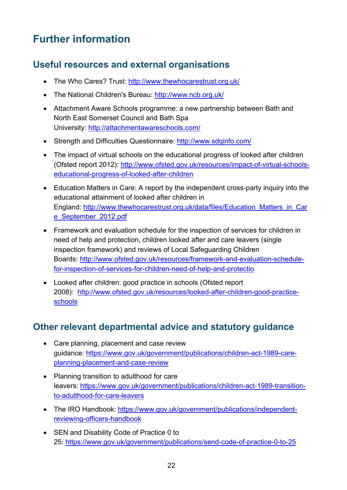## <span id="page-21-0"></span>**Further information**

#### <span id="page-21-1"></span>**Useful resources and external organisations**

- The Who Cares? Trust:<http://www.thewhocarestrust.org.uk/>
- The National Children's Bureau:<http://www.ncb.org.uk/>
- Attachment Aware Schools programme: a new partnership between Bath and North East Somerset Council and Bath Spa University: <http://attachmentawareschools.com/>
- Strength and Difficulties Questionnaire:<http://www.sdqinfo.com/>
- The impact of virtual schools on the educational progress of looked after children (Ofsted report 2012): [http://www.ofsted.gov.uk/resources/impact-of-virtual-schools](http://www.ofsted.gov.uk/resources/impact-of-virtual-schools-educational-progress-of-looked-after-children)[educational-progress-of-looked-after-children](http://www.ofsted.gov.uk/resources/impact-of-virtual-schools-educational-progress-of-looked-after-children)
- Education Matters in Care: A report by the independent cross-party inquiry into the educational attainment of looked after children in England: [http://www.thewhocarestrust.org.uk/data/files/Education\\_Matters\\_in\\_Car](http://www.thewhocarestrust.org.uk/data/files/Education_Matters_in_Care_September_2012.pdf) [e\\_September\\_2012.pdf](http://www.thewhocarestrust.org.uk/data/files/Education_Matters_in_Care_September_2012.pdf)
- Framework and evaluation schedule for the inspection of services for children in need of help and protection, children looked after and care leavers (single inspection framework) and reviews of Local Safeguarding Children Boards: [http://www.ofsted.gov.uk/resources/framework-and-evaluation-schedule](http://www.ofsted.gov.uk/resources/framework-and-evaluation-schedule-for-inspection-of-services-for-children-need-of-help-and-protectio)[for-inspection-of-services-for-children-need-of-help-and-protectio](http://www.ofsted.gov.uk/resources/framework-and-evaluation-schedule-for-inspection-of-services-for-children-need-of-help-and-protectio)
- Looked after children: good practice in schools (Ofsted report 2008): [http://www.ofsted.gov.uk/resources/looked-after-children-good-practice](http://www.ofsted.gov.uk/resources/looked-after-children-good-practice-schools)[schools](http://www.ofsted.gov.uk/resources/looked-after-children-good-practice-schools)

#### <span id="page-21-2"></span>**Other relevant departmental advice and statutory guidance**

- Care planning, placement and case review guidance: [https://www.gov.uk/government/publications/children-act-1989-care](https://www.gov.uk/government/publications/children-act-1989-care-planning-placement-and-case-review)[planning-placement-and-case-review](https://www.gov.uk/government/publications/children-act-1989-care-planning-placement-and-case-review)
- Planning transition to adulthood for care leavers: [https://www.gov.uk/government/publications/children-act-1989-transition](https://www.gov.uk/government/publications/children-act-1989-transition-to-adulthood-for-care-leavers)[to-adulthood-for-care-leavers](https://www.gov.uk/government/publications/children-act-1989-transition-to-adulthood-for-care-leavers)
- The IRO Handbook: [https://www.gov.uk/government/publications/independent](https://www.gov.uk/government/publications/independent-reviewing-officers-handbook)[reviewing-officers-handbook](https://www.gov.uk/government/publications/independent-reviewing-officers-handbook)
- SEN and Disability Code of Practice 0 to 25:<https://www.gov.uk/government/publications/send-code-of-practice-0-to-25>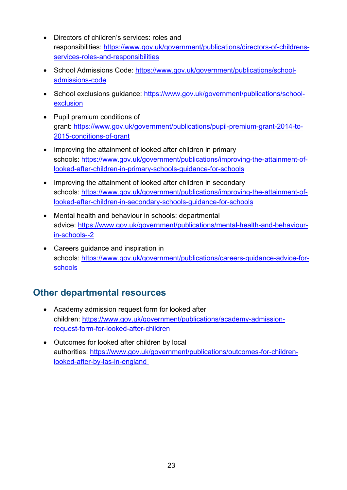- Directors of children's services: roles and responsibilities: [https://www.gov.uk/government/publications/directors-of-childrens](https://www.gov.uk/government/publications/directors-of-childrens-services-roles-and-responsibilities)[services-roles-and-responsibilities](https://www.gov.uk/government/publications/directors-of-childrens-services-roles-and-responsibilities)
- School Admissions Code: [https://www.gov.uk/government/publications/school](https://www.gov.uk/government/publications/school-admissions-code)[admissions-code](https://www.gov.uk/government/publications/school-admissions-code)
- School exclusions guidance: [https://www.gov.uk/government/publications/school](https://www.gov.uk/government/publications/school-exclusion)[exclusion](https://www.gov.uk/government/publications/school-exclusion)
- Pupil premium conditions of grant: [https://www.gov.uk/government/publications/pupil-premium-grant-2014-to-](https://www.gov.uk/government/publications/pupil-premium-grant-2014-to-2015-conditions-of-grant)[2015-conditions-of-grant](https://www.gov.uk/government/publications/pupil-premium-grant-2014-to-2015-conditions-of-grant)
- Improving the attainment of looked after children in primary schools: [https://www.gov.uk/government/publications/improving-the-attainment-of](https://www.gov.uk/government/publications/improving-the-attainment-of-looked-after-children-in-primary-schools-guidance-for-schools)[looked-after-children-in-primary-schools-guidance-for-schools](https://www.gov.uk/government/publications/improving-the-attainment-of-looked-after-children-in-primary-schools-guidance-for-schools)
- Improving the attainment of looked after children in secondary schools: [https://www.gov.uk/government/publications/improving-the-attainment-of](https://www.gov.uk/government/publications/improving-the-attainment-of-looked-after-children-in-secondary-schools-guidance-for-schools)[looked-after-children-in-secondary-schools-guidance-for-schools](https://www.gov.uk/government/publications/improving-the-attainment-of-looked-after-children-in-secondary-schools-guidance-for-schools)
- Mental health and behaviour in schools: departmental advice: [https://www.gov.uk/government/publications/mental-health-and-behaviour](https://www.gov.uk/government/publications/mental-health-and-behaviour-in-schools--2)[in-schools--2](https://www.gov.uk/government/publications/mental-health-and-behaviour-in-schools--2)
- Careers guidance and inspiration in schools: [https://www.gov.uk/government/publications/careers-guidance-advice-for](https://www.gov.uk/government/publications/careers-guidance-advice-for-schools)[schools](https://www.gov.uk/government/publications/careers-guidance-advice-for-schools)

#### <span id="page-22-0"></span>**Other departmental resources**

- Academy admission request form for looked after children: [https://www.gov.uk/government/publications/academy-admission](https://www.gov.uk/government/publications/academy-admission-request-form-for-looked-after-children)[request-form-for-looked-after-children](https://www.gov.uk/government/publications/academy-admission-request-form-for-looked-after-children)
- Outcomes for looked after children by local authorities: [https://www.gov.uk/government/publications/outcomes-for-children](https://www.gov.uk/government/publications/outcomes-for-children-looked-after-by-las-in-england)[looked-after-by-las-in-england](https://www.gov.uk/government/publications/outcomes-for-children-looked-after-by-las-in-england)